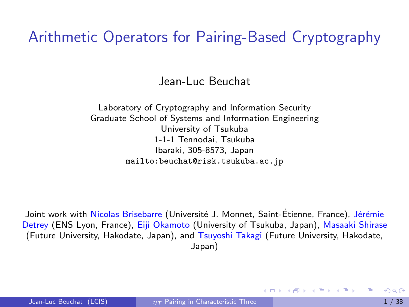Arithmetic Operators for Pairing-Based Cryptography

Jean-Luc Beuchat

Laboratory of Cryptography and Information Security Graduate School of Systems and Information Engineering University of Tsukuba 1-1-1 Tennodai, Tsukuba Ibaraki, 305-8573, Japan <mailto:beuchat@risk.tsukuba.ac.jp>

Joint work with Nicolas Brisebarre (Université J. Monnet, Saint-Étienne, France), Jérémie Detrey (ENS Lyon, France), Eiji Okamoto (University of Tsukuba, Japan), Masaaki Shirase (Future University, Hakodate, Japan), and Tsuyoshi Takagi (Future University, Hakodate, Japan)

<span id="page-0-0"></span>イロト イ母 ト イヨ ト イヨ トー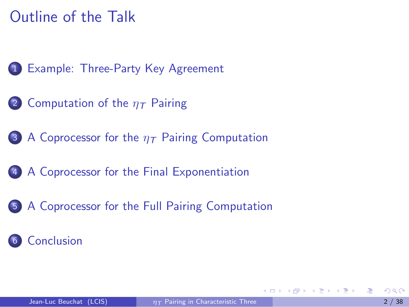### Outline of the Talk

- 1 [Example: Three-Party Key Agreement](#page-2-0)
- 2 [Computation of the](#page-19-0)  $n<sub>T</sub>$  Pairing
- 3 [A Coprocessor for the](#page-24-0)  $\eta$ <sub>T</sub> Pairing Computation
- 4 [A Coprocessor for the Final Exponentiation](#page-33-0)
- 5 [A Coprocessor for the Full Pairing Computation](#page-42-0)

#### **[Conclusion](#page-45-0)**

 $\langle \overline{m} \rangle$  and  $\langle \overline{m} \rangle$  and  $\langle \overline{m} \rangle$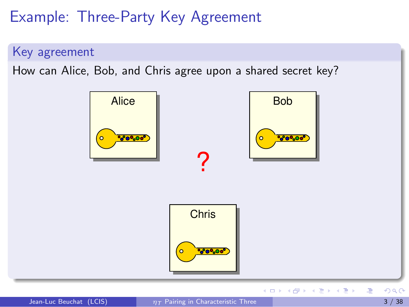Key agreement

How can Alice, Bob, and Chris agree upon a shared secret key?



<span id="page-2-0"></span>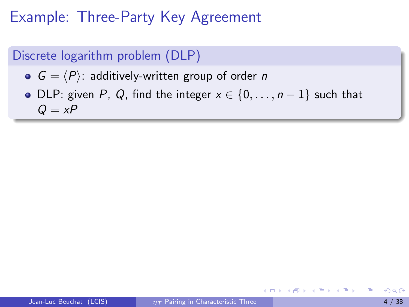#### Discrete logarithm problem (DLP)

- $G = \langle P \rangle$ : additively-written group of order n
- DLP: given P, Q, find the integer  $x \in \{0, \ldots, n-1\}$  such that  $Q = xP$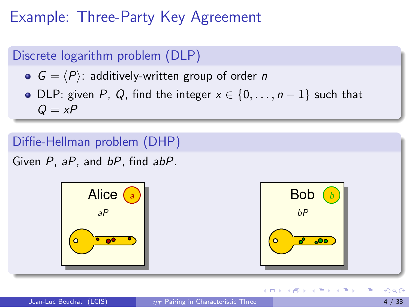#### Discrete logarithm problem (DLP)

- $G = \langle P \rangle$ : additively-written group of order n
- DLP: given P, Q, find the integer  $x \in \{0, \ldots, n-1\}$  such that  $Q = xP$

#### Diffie-Hellman problem (DHP)

Given P, aP, and bP, find abP.



イロト イ押ト イヨト イヨト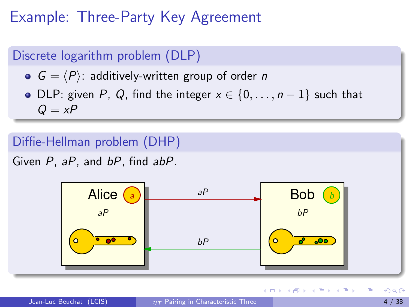#### Discrete logarithm problem (DLP)

- $G = \langle P \rangle$ : additively-written group of order n
- DLP: given P, Q, find the integer  $x \in \{0, \ldots, n-1\}$  such that  $Q = xP$

#### Diffie-Hellman problem (DHP)

Given P, aP, and bP, find abP.



イロト イ押ト イヨト イヨト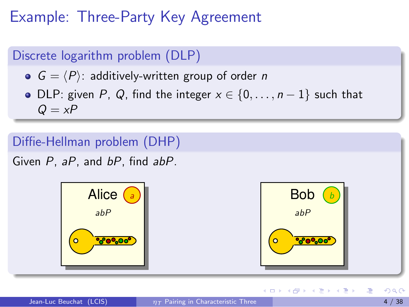#### Discrete logarithm problem (DLP)

- $G = \langle P \rangle$ : additively-written group of order n
- DLP: given P, Q, find the integer  $x \in \{0, \ldots, n-1\}$  such that  $Q = xP$

#### Diffie-Hellman problem (DHP)

Given P, aP, and bP, find abP.



イロト イ押ト イヨト イヨト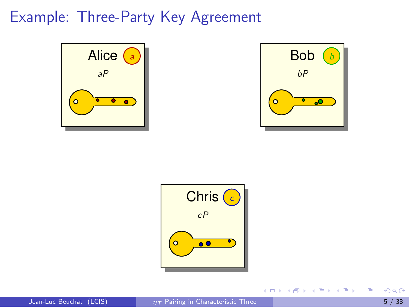



イロト イ部 ト イヨ ト イヨ トー



**E**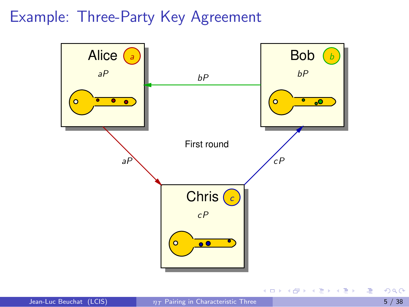

**E** 

イロト イ部 ト イヨ ト イヨ トー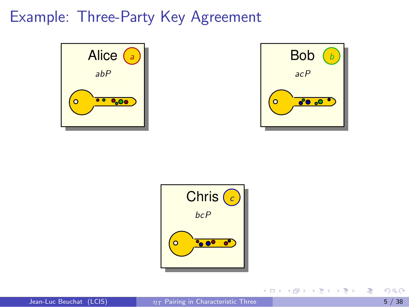



イロメ イ部メ イヨメ イヨメー



**E**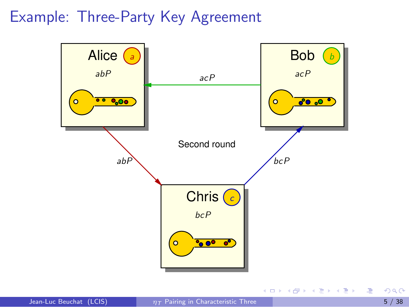

**E** 

K ロ ▶ K 倒 ▶ K 듣 ▶ K 듣 ▶ ...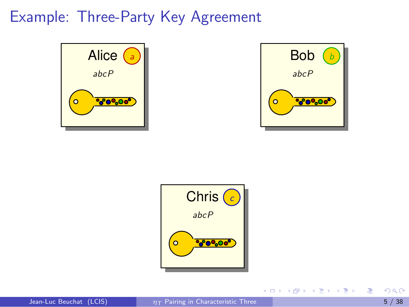



イロメ イ部メ イヨメ イヨメー



**E**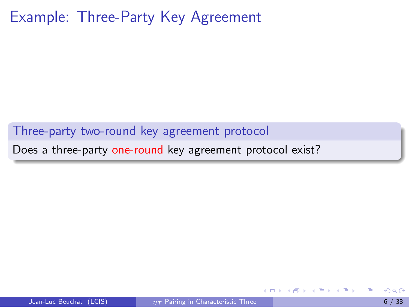Three-party two-round key agreement protocol

Does a three-party one-round key agreement protocol exist?

4 D F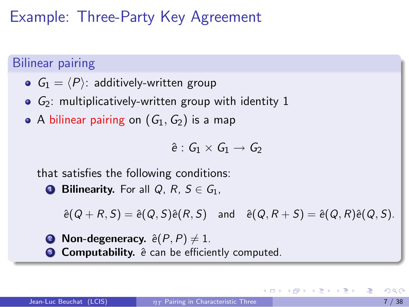#### Bilinear pairing

- $G_1 = \langle P \rangle$ : additively-written group
- $\bullet$   $G_2$ : multiplicatively-written group with identity 1
- A bilinear pairing on  $(G_1, G_2)$  is a map

 $\hat{e}: G_1 \times G_1 \rightarrow G_2$ 

that satisfies the following conditions:

**1 Bilinearity.** For all Q, R,  $S \in G_1$ ,

 $\hat{e}(Q + R, S) = \hat{e}(Q, S)\hat{e}(R, S)$  and  $\hat{e}(Q, R + S) = \hat{e}(Q, R)\hat{e}(Q, S)$ .

**2** Non-degeneracy.  $\hat{e}(P, P) \neq 1$ . <sup>3</sup> Computability.  $\hat{e}$  can be efficiently computed.

KON KAN KEN KEN LE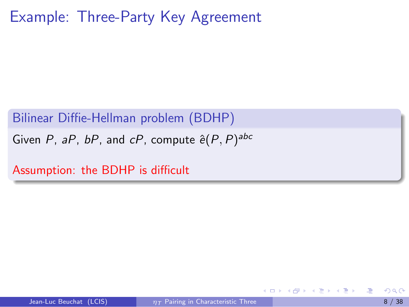Bilinear Diffie-Hellman problem (BDHP)

Given P, aP, bP, and cP, compute  $\hat{e}(P,P)^{abc}$ 

Assumption: the BDHP is difficult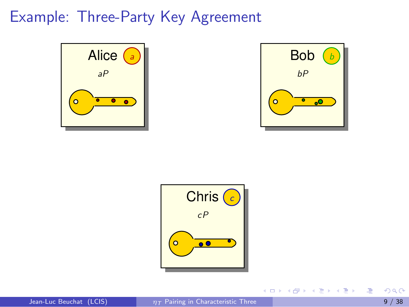



イロト イ部 ト イヨ ト イヨ トー



**E**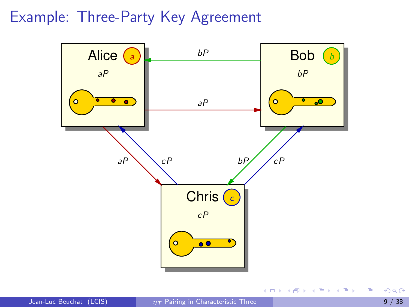Example: Three-Party Key Agreement



4 0 8

→ イ団 ト イ ヨ ト イ ヨ ト

画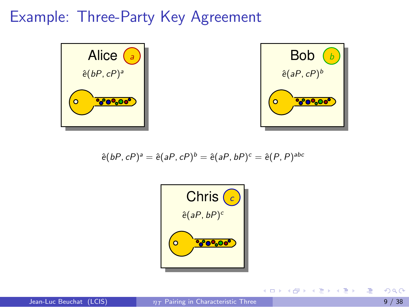



イロメ イ部メ イヨメ イヨメー

$$
\hat{e}(bP,cP)^{a} = \hat{e}(aP,cP)^{b} = \hat{e}(aP,bP)^{c} = \hat{e}(P,P)^{abc}
$$



**E**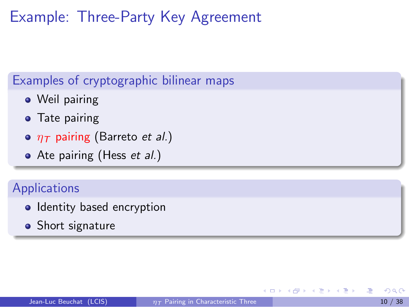#### Examples of cryptographic bilinear maps

- Weil pairing
- **•** Tate pairing
- $\circ$   $\eta$ <sub>T</sub> pairing (Barreto et al.)
- Ate pairing (Hess et al.)

#### **Applications**

- Identity based encryption
- Short signature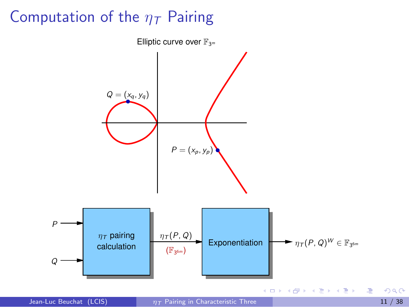# Computation of the  $\eta$ <sub>T</sub> Pairing



<span id="page-19-0"></span>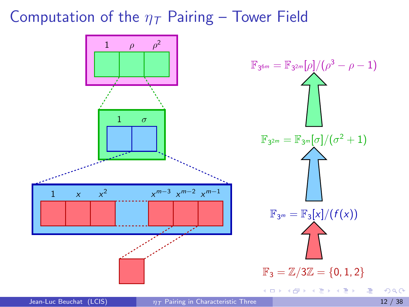#### Computation of the  $\eta$ <sub>T</sub> Pairing – Tower Field

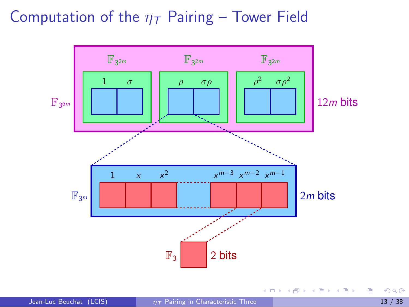### Computation of the  $\eta$ <sub>T</sub> Pairing – Tower Field



 $299$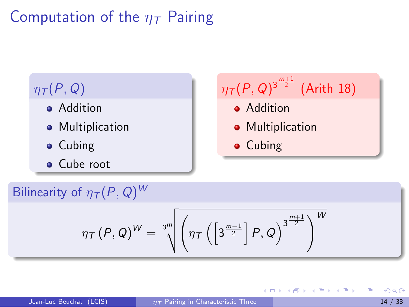# Computation of the  $\eta$ <sub>T</sub> Pairing

#### $\eta_{\mathcal{T}}(P,Q)$

- **•** Addition
- **•** Multiplication
- **•** Cubing
- Cube root



→ 何 ▶ → ヨ ▶ → ヨ ▶

4 D F

#### Bilinearity of  $\eta_{\mathcal{T}}(P,Q)^W$

$$
\eta_{\mathcal{T}}\left(P,Q\right)^{W}=\sqrt[3^m]{\left(\eta_{\mathcal{T}}\left(\left[3^{\frac{m-1}{2}}\right]P,Q\right)^{3^{\frac{m+1}{2}}}\right)^{W}}
$$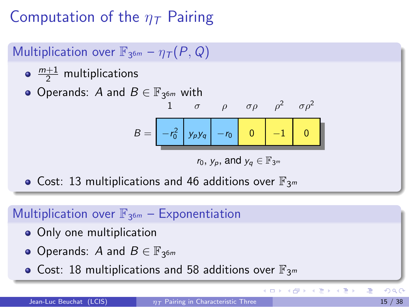Computation of the  $\eta$ <sub>T</sub> Pairing

Multiplication over  $\mathbb{F}_{3^{6m}} - \eta_{\mathcal{T}}(P, Q)$ 

- $\frac{m+1}{2}$  multiplications
- Operands:  $A$  and  $B \in \mathbb{F}_{3^{6m}}$  with

$$
B = \begin{bmatrix} 1 & \sigma & \rho & \sigma \rho & \rho^2 & \sigma \rho^2 \\ -r_0^2 & y_p y_q & -r_0 & 0 & -1 & 0 \end{bmatrix}
$$

$$
r_0,\,y_p,\,\text{and}\;y_q\in\mathbb{F}_{3^m}
$$

• Cost: 13 multiplications and 46 additions over  $\mathbb{F}_{3^m}$ 

### Multiplication over  $\mathbb{F}_{3^{6m}}$  - Exponentiation

- Only one multiplication
- Operands: A and  $B \in \mathbb{F}_{3^{6m}}$
- Cost: 18 multiplications and 58 additions over  $\mathbb{F}_{3^m}$

э

イロト イ部 トメ ヨ トメ ヨト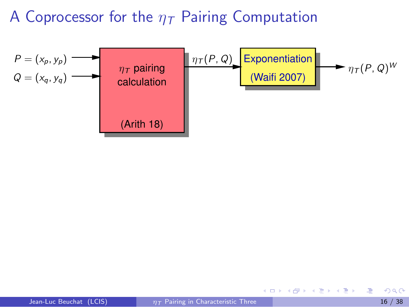

4 0 8

<span id="page-24-0"></span>Gradual Gradua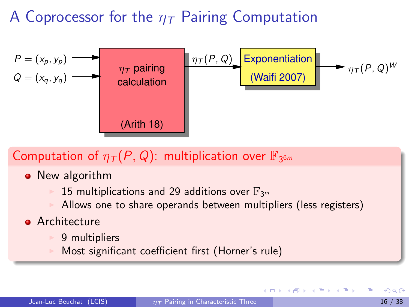

### Computation of  $\eta_{\mathcal{T}}(P,Q)$ : multiplication over  $\mathbb{F}_{3^{6m}}$

- New algorithm
	- 15 multiplications and 29 additions over  $\mathbb{F}_{3^m}$
	- Allows one to share operands between multipliers (less registers)
- **•** Architecture
	- 9 multipliers
	- Most significant coefficient first (Horner's rule)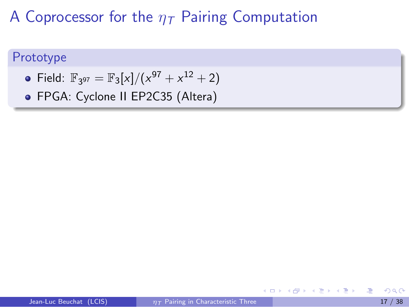#### Prototype

- Field:  $\mathbb{F}_{3^{97}} = \mathbb{F}_{3}[x]/(x^{97} + x^{12} + 2)$
- FPGA: Cyclone II EP2C35 (Altera)

4 D F

. . . 3 . . 3 **.**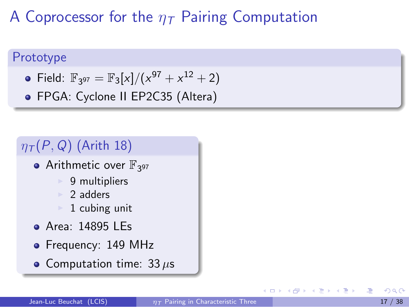#### Prototype

- Field:  $\mathbb{F}_{3^{97}} = \mathbb{F}_{3}[x]/(x^{97} + x^{12} + 2)$
- FPGA: Cyclone II EP2C35 (Altera)

#### $\eta_{\mathcal{T}}(P,Q)$  (Arith 18)

- Arithmetic over  $\mathbb{F}_{3^{97}}$ 
	- $\triangleright$  9 multipliers
	- 2 adders
	- 1 cubing unit
- Area: 14895 LEs
- Frequency: 149 MHz
- Computation time:  $33 \,\mu s$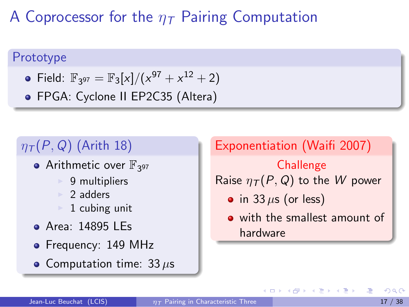#### Prototype

- Field:  $\mathbb{F}_{3^{97}} = \mathbb{F}_{3}[x]/(x^{97} + x^{12} + 2)$
- FPGA: Cyclone II EP2C35 (Altera)

# $\eta_{\mathcal{T}}(P,Q)$  (Arith 18)

- Arithmetic over  $\mathbb{F}_{3^{97}}$ 
	- $\triangleright$  9 multipliers
	- 2 adders
	- 1 cubing unit
- Area: 14895 LEs
- Frequency: 149 MHz
- Computation time:  $33 \,\mu s$

Exponentiation (Waifi 2007) **Challenge** Raise  $\eta_{\mathcal{T}}(P,Q)$  to the W power • in 33  $\mu$ s (or less) o with the smallest amount of hardware

→ 何 ▶ → ヨ ▶ → ヨ ▶

4 D F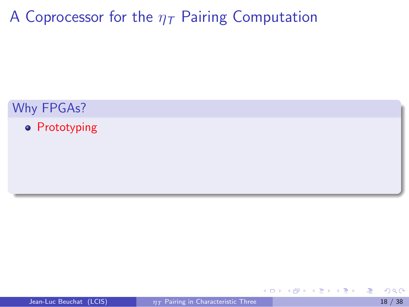Why FPGAs?

**•** Prototyping

4 日下

画

AP > 4 B > 4 B >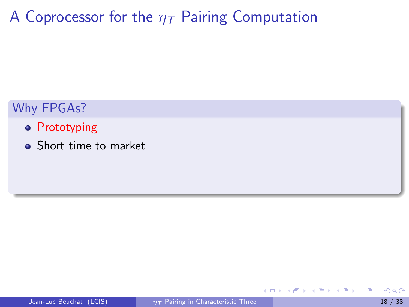#### Why FPGAs?

- **•** Prototyping
- **•** Short time to market

4 0 8

∍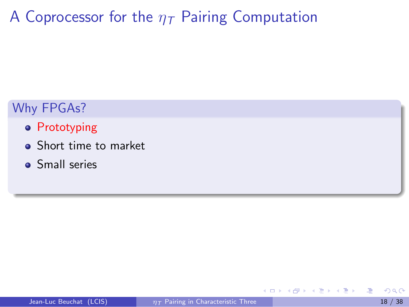#### Why FPGAs?

- **•** Prototyping
- **•** Short time to market
- **Small series**

4 0 8

æ.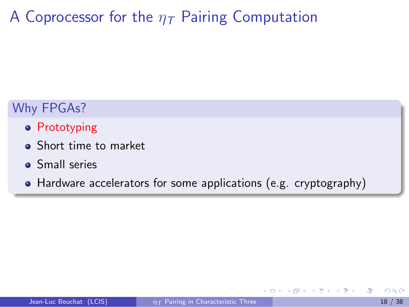#### Why FPGAs?

- **•** Prototyping
- **•** Short time to market
- **Small series**
- Hardware accelerators for some applications (e.g. cryptography)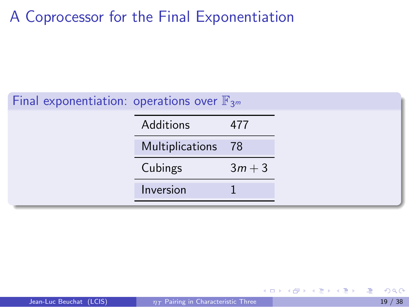| Final exponentiation: operations over $\mathbb{F}_{3^m}$ |          |  |  |
|----------------------------------------------------------|----------|--|--|
| Additions                                                | 477      |  |  |
| Multiplications 78                                       |          |  |  |
| Cubings                                                  | $3m + 3$ |  |  |
| Inversion                                                |          |  |  |

4 日下

∢●

. . . 3 . . 3 .

<span id="page-33-0"></span>画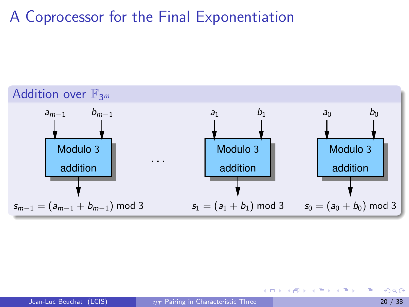

$$
\frac{10}{20}
$$

唐

イロメ イ部メ イ君メ イ君メー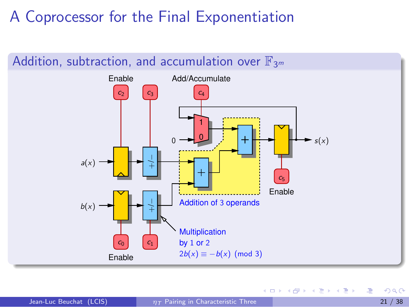

4 D F

**FA 重 FA**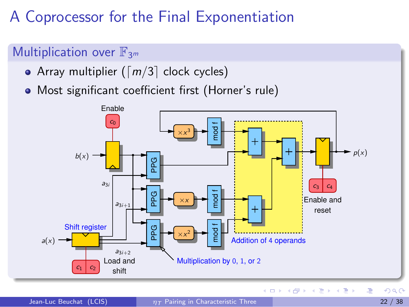#### Multiplication over  $\mathbb{F}_{3^m}$

- Array multiplier ( $\lceil m/3 \rceil$  clock cycles)
- Most significant coefficient first (Horner's rule)

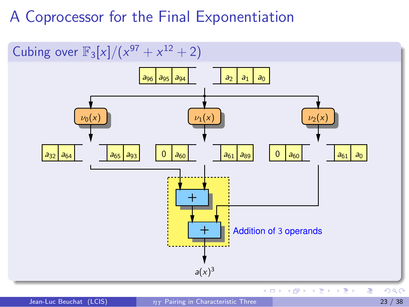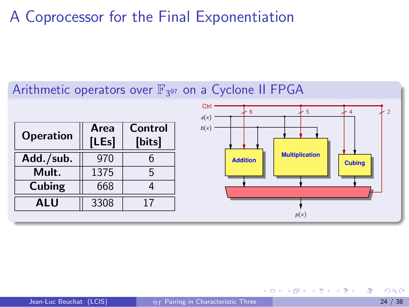

4. 0. 3.

- 4何 ト 4 ヨ ト 4 ヨ ト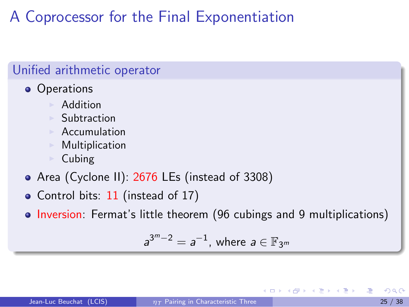#### Unified arithmetic operator • Operations **Addition**  $\blacktriangleright$  Subtraction  $\blacktriangleright$  Accumulation  $\blacktriangleright$  Multiplication  $\triangleright$  Cubing Area (Cyclone II): 2676 LEs (instead of 3308) • Control bits: 11 (instead of 17) • Inversion: Fermat's little theorem (96 cubings and 9 multiplications)

$$
a^{3^m-2}=a^{-1}, \text{ where } a\in \mathbb{F}_{3^m}
$$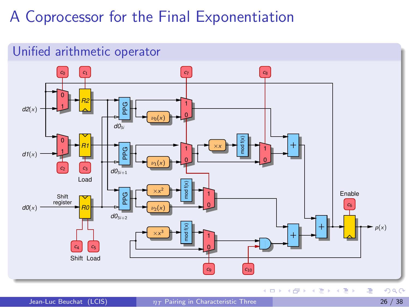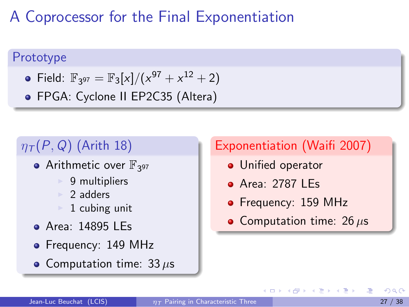#### Prototype

- Field:  $\mathbb{F}_{3^{97}} = \mathbb{F}_{3}[x]/(x^{97} + x^{12} + 2)$
- FPGA: Cyclone II EP2C35 (Altera)

# $\eta_{\mathcal{T}}(P,Q)$  (Arith 18)

- Arithmetic over  $\mathbb{F}_{3^{97}}$ 
	- 9 multipliers
	- <sup>I</sup> 2 adders
	- 1 cubing unit
- Area: 14895 LEs
- Frequency: 149 MHz
- Computation time:  $33 \,\mu s$

#### Exponentiation (Waifi 2007)

- **•** Unified operator
- Area: 2787 LEs

4 D F

- Frequency: 159 MHz
- Computation time:  $26 \,\mu s$

 $\mathcal{A} \cap \mathbb{P} \rightarrow \mathcal{A} \supseteq \mathcal{A} \rightarrow \mathcal{A} \supseteq \mathcal{A}$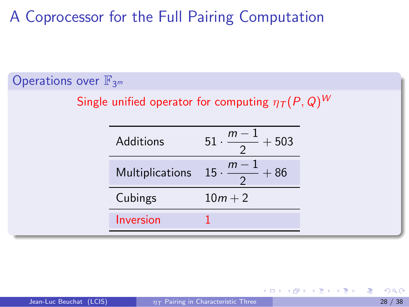#### Operations over  $\mathbb{F}_{3^m}$

Single unified operator for computing  $\eta_{\mathcal{T}}(P, Q)^W$ 

| Additions            | 503<br>51   |
|----------------------|-------------|
| Multiplications 15 · | $m -$<br>86 |
| Cubings              | $10m + 2$   |
| Inversion            |             |

4 D F

<span id="page-42-0"></span>医阿雷氏阿雷氏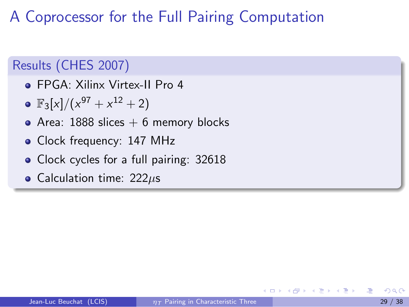#### Results (CHES 2007)

- FPGA: Xilinx Virtex-II Pro 4
- $\mathbb{F}_3[x]/(x^{97}+x^{12}+2)$
- Area:  $1888$  slices  $+ 6$  memory blocks
- Clock frequency: 147 MHz
- Clock cycles for a full pairing: 32618
- Calculation time:  $222\mu s$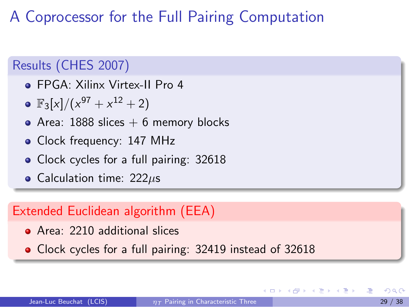#### Results (CHES 2007)

- FPGA: Xilinx Virtex-II Pro 4
- $\mathbb{F}_3[x]/(x^{97}+x^{12}+2)$
- Area: 1888 slices  $+$  6 memory blocks
- Clock frequency: 147 MHz
- Clock cycles for a full pairing: 32618
- Calculation time:  $222\mu s$

#### Extended Euclidean algorithm (EEA)

Area: 2210 additional slices

Clock cycles for a full pairing: 32419 instead of 32618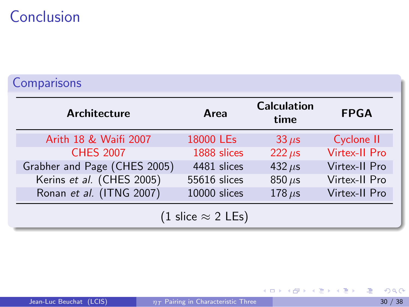# Conclusion

#### **Comparisons**

| <b>Architecture</b>          | Area         | <b>Calculation</b><br>time | <b>FPGA</b>          |  |  |
|------------------------------|--------------|----------------------------|----------------------|--|--|
| Arith 18 & Waifi 2007        | 18000 LEs    | $33 \mu s$                 | Cyclone II           |  |  |
| <b>CHES 2007</b>             | 1888 slices  | $222 \mu s$                | <b>Virtex-II Pro</b> |  |  |
| Grabher and Page (CHES 2005) | 4481 slices  | 432 $\mu$ s                | Virtex-II Pro        |  |  |
| Kerins et al. (CHES 2005)    | 55616 slices | $850 \,\mu s$              | Virtex-II Pro        |  |  |
| Ronan et al. (ITNG 2007)     | 10000 slices | 178 $\mu$ s                | Virtex-II Pro        |  |  |
| (1 slice $\approx$ 2 LEs)    |              |                            |                      |  |  |

<span id="page-45-0"></span>唐

イロト イ部 トイモト イモト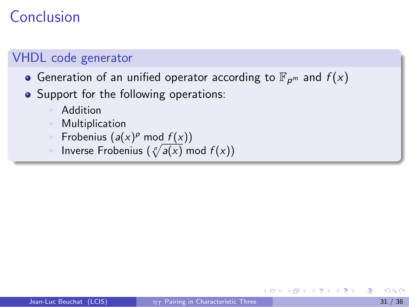# **Conclusion**

#### VHDL code generator

- Generation of an unified operator according to  $\mathbb{F}_{p^m}$  and  $f(x)$
- Support for the following operations:
	- **Addition**
	- **Multiplication**
	- Frobenius  $(a(x)^p \mod f(x))$
	- Inverse Frobenius  $(\sqrt[p]{a(x)} \mod f(x))$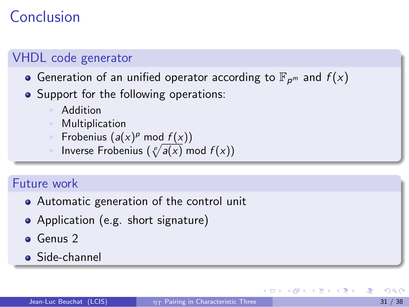# Conclusion

#### VHDL code generator

- Generation of an unified operator according to  $\mathbb{F}_{p^m}$  and  $f(x)$
- Support for the following operations:
	- **Addition**
	- **Multiplication**
	- Frobenius  $(a(x)^p \mod f(x))$
	- Inverse Frobenius  $(\sqrt[p]{a(x)} \mod f(x))$

#### Future work

- Automatic generation of the control unit
- Application (e.g. short signature)
- **Genus 2**
- **•** Side-channel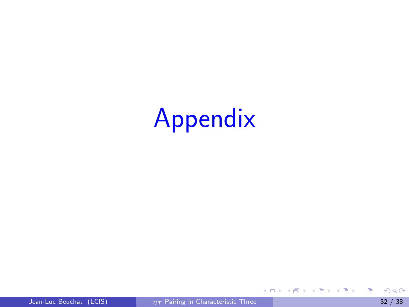# Appendix

重

イロメ イ部メ イ君メ イ君メー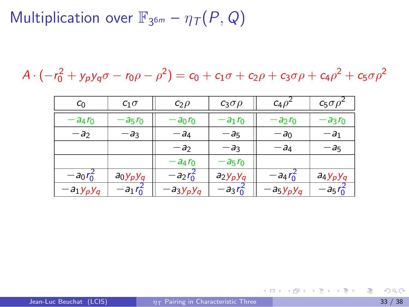$$
A \cdot (-r_0^2 + y_p y_q \sigma - r_0 \rho - \rho^2) = c_0 + c_1 \sigma + c_2 \rho + c_3 \sigma \rho + c_4 \rho^2 + c_5 \sigma \rho^2
$$

| $c_0$        | $c_1\sigma$ | $c_2\rho$    | $c_3\sigma\rho$ | $C_4 \rho^2$         | $c_5\sigma\rho$ |
|--------------|-------------|--------------|-----------------|----------------------|-----------------|
| $-a_4r_0$    | $-a_5r_0$   | $-a_0r_0$    | $-a_1r_0$       | $-a_2r_0$            | $-a_3r_0$       |
| $-a_2$       | - a3        | -a4          | $-a_5$          | $-a_0$               | $-a_1$          |
|              |             | $-a2$        | $-a_3$          | $-a_4$               | $-a_5$          |
|              |             | $-a_4r_0$    | $-a_5r_0$       |                      |                 |
| $-a_0r_0^2$  | $a_0y_py_q$ | $-a_2r_0^2$  | $a_2y_py_q$     | $-a_4 r_0^2$         | $a_4y_py_q$     |
| $-a_1y_py_q$ | $-a_1r_0^2$ | $-a_3y_py_q$ | $-a_3r_0^2$     | $-a_5$ y $_p$ y $_q$ | $- a_5 r_0^2$   |

画

メロメ メ御 メメ きょくきょ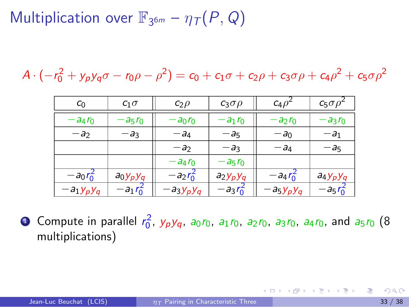$$
A \cdot (-r_0^2 + y_p y_q \sigma - r_0 \rho - \rho^2) = c_0 + c_1 \sigma + c_2 \rho + c_3 \sigma \rho + c_4 \rho^2 + c_5 \sigma \rho^2
$$

| $c_0$        | $c_1\sigma$  | $c_2\rho$    | $c_3\sigma\rho$ | $C_4\rho^4$          | $c_5\sigma\rho$ |
|--------------|--------------|--------------|-----------------|----------------------|-----------------|
| $-a_4r_0$    | $a_5r_0$     | $-a_0r_0$    | $-a_1r_0$       | $-a_2r_0$            | $-a_3r_0$       |
| $-a2$        | -a3          | - a4         | $-a_5$          | $-a_0$               | $-a_1$          |
|              |              | $-a_2$       | $-a_3$          | $-a_4$               | $-a_5$          |
|              |              | $-a_4r_0$    | $-a_5r_0$       |                      |                 |
| $-a_0r_0^2$  | $a_0y_py_q$  | $-a_2r_0^2$  | $a_2y_py_q$     | $-a_4r_0$            | $a_4y_py_q$     |
| $-a_1y_py_q$ | $-a_1 r_0^2$ | $-a_3y_py_q$ | $-a_3r_0^2$     | $-a_5$ y $_p$ y $_q$ | $- a_5 r_0^2$   |

**1** Compute in parallel  $r_0^2$ ,  $y_py_q$ ,  $a_0r_0$ ,  $a_1r_0$ ,  $a_2r_0$ ,  $a_3r_0$ ,  $a_4r_0$ , and  $a_5r_0$   $(8$ multiplications)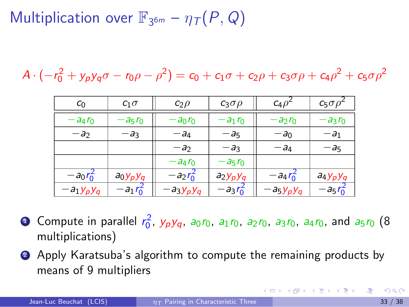$$
A \cdot (-r_0^2 + y_p y_q \sigma - r_0 \rho - \rho^2) = c_0 + c_1 \sigma + c_2 \rho + c_3 \sigma \rho + c_4 \rho^2 + c_5 \sigma \rho^2
$$

| $c_0$        | $c_1\sigma$   | $c_2\rho$    | $c_3\sigma\rho$ | $C_4\rho^2$  | $c_5\sigma\rho$ |
|--------------|---------------|--------------|-----------------|--------------|-----------------|
| $-a_4r_0$    | $-25r0$       | $-a_0r_0$    | $-a_1r_0$       | $-a_2r_0$    | $-a_3r_0$       |
| $-a_2$       | $-a_3$        | $-a_4$       | $-a_5$          | $-a_0$       | $-a_1$          |
|              |               | $-a_2$       | $-a_3$          | $-a_4$       | $-a_5$          |
|              |               | $-a_4r_0$    | $- a_5 r_0$     |              |                 |
| $-a_0r_0^2$  | $a_0y_py_q$   | $-a_2r_0^2$  | $a_2y_py_q$     | $-a_4 r_0^2$ | $a_4y_py_q$     |
| $-a_1y_py_q$ | $- a_1 r_0^2$ | $-a_3y_py_q$ | $-a_3r_0^2$     | $-a_5y_py_q$ | $- a_5 r_0^2$   |

- **1** Compute in parallel  $r_0^2$ ,  $y_py_q$ ,  $a_0r_0$ ,  $a_1r_0$ ,  $a_2r_0$ ,  $a_3r_0$ ,  $a_4r_0$ , and  $a_5r_0$   $(8$ multiplications)
- <sup>2</sup> Apply Karatsuba's algorithm to compute the remaining products by means of 9 multipliers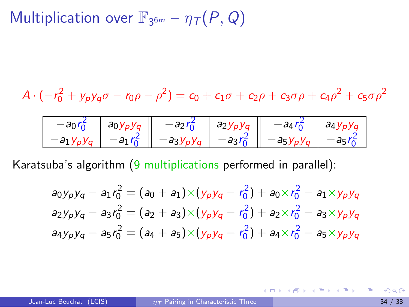$$
A \cdot (-r_0^2 + y_p y_q \sigma - r_0 \rho - \rho^2) = c_0 + c_1 \sigma + c_2 \rho + c_3 \sigma \rho + c_4 \rho^2 + c_5 \sigma \rho^2
$$

| ັບ         | $a_0y_p$ | a <sub>2</sub> V <sub>n</sub> | 1Д. | $d\Delta V$ |
|------------|----------|-------------------------------|-----|-------------|
| $-a_{1}$ , |          | ີ                             | aб  |             |

Karatsuba's algorithm (9 multiplications performed in parallel):

$$
a_0y_py_q - a_1r_0^2 = (a_0 + a_1) \times (y_py_q - r_0^2) + a_0 \times r_0^2 - a_1 \times y_py_q
$$
  
\n
$$
a_2y_py_q - a_3r_0^2 = (a_2 + a_3) \times (y_py_q - r_0^2) + a_2 \times r_0^2 - a_3 \times y_py_q
$$
  
\n
$$
a_4y_py_q - a_5r_0^2 = (a_4 + a_5) \times (y_py_q - r_0^2) + a_4 \times r_0^2 - a_5 \times y_py_q
$$

**K ロ ▶ | K 何 ▶ | K ヨ ▶ | K ヨ ▶ |**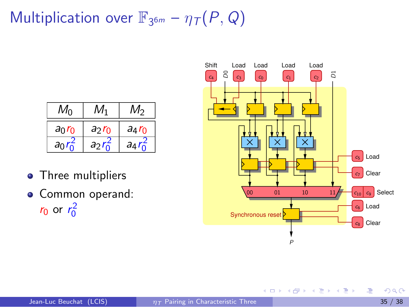| $M_{\rm O}$ | M1                    | $M_2$                 |
|-------------|-----------------------|-----------------------|
| $a_0r_0$    | $a_2r_0$              | $a_4r_0$              |
| $a_0$       | $a_2r_{\overline{0}}$ | $a_4r_{\overline{0}}$ |

- Three multipliers
- Common operand:  $r_0$  or  $r_0^2$



 $\mathbf{A} \oplus \mathbf{B}$   $\mathbf{A} \oplus \mathbf{B}$   $\mathbf{A} \oplus \mathbf{B}$ 

4 日下

э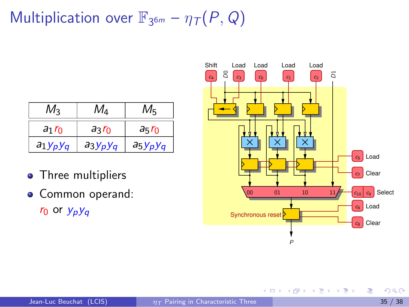| $M_{2}$     | $M_{\rm \Delta}$ | $M_5$       |
|-------------|------------------|-------------|
| $a_1r_0$    | $a_3r_0$         | $a_5r_0$    |
| $a_1y_py_q$ | $a_3y_py_q$      | $a_5y_py_q$ |

- Three multipliers
- Common operand:



4 0 8

→ (御) → (君) → (君)

画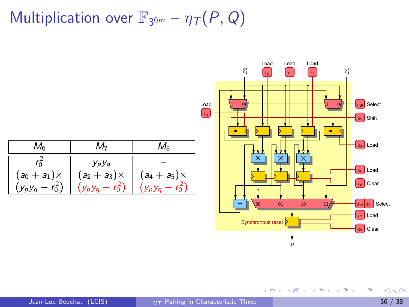

画

メロメ メ都 メメ 君 メメ 君 メ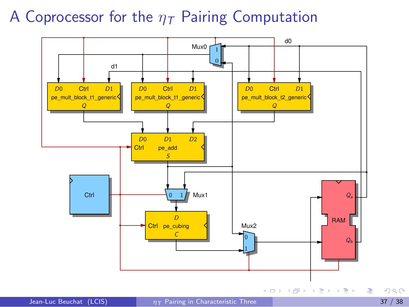